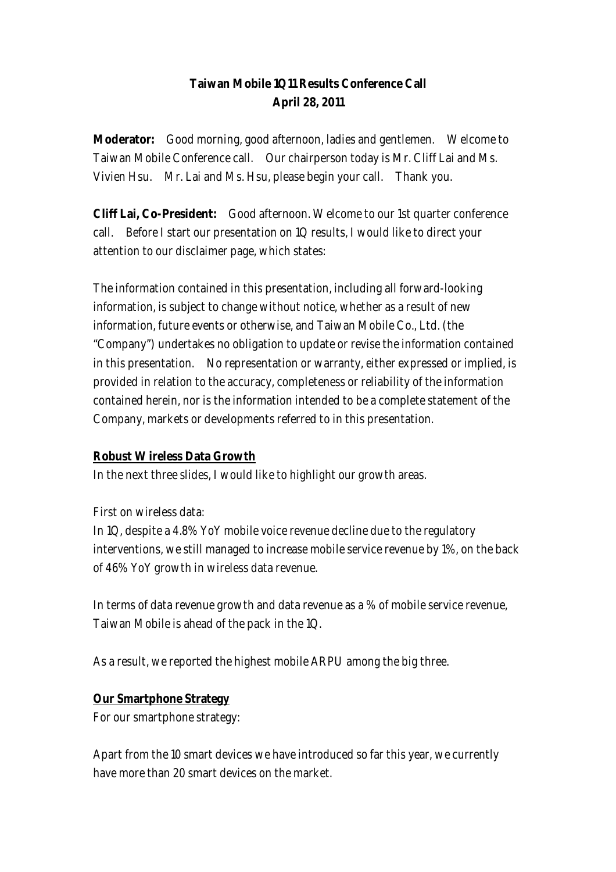# **Taiwan Mobile 1Q11 Results Conference Call April 28, 2011**

**Moderator:** Good morning, good afternoon, ladies and gentlemen. Welcome to Taiwan Mobile Conference call. Our chairperson today is Mr. Cliff Lai and Ms. Vivien Hsu. Mr. Lai and Ms. Hsu, please begin your call. Thank you.

**Cliff Lai, Co-President:** Good afternoon. Welcome to our 1st quarter conference call. Before I start our presentation on 1Q results, I would like to direct your attention to our disclaimer page, which states:

The information contained in this presentation, including all forward-looking information, is subject to change without notice, whether as a result of new information, future events or otherwise, and Taiwan Mobile Co., Ltd. (the "Company") undertakes no obligation to update or revise the information contained in this presentation. No representation or warranty, either expressed or implied, is provided in relation to the accuracy, completeness or reliability of the information contained herein, nor is the information intended to be a complete statement of the Company, markets or developments referred to in this presentation.

### **Robust Wireless Data Growth**

In the next three slides, I would like to highlight our growth areas.

First on wireless data:

In 1Q, despite a 4.8% YoY mobile voice revenue decline due to the regulatory interventions, we still managed to increase mobile service revenue by 1%, on the back of 46% YoY growth in wireless data revenue.

In terms of data revenue growth and data revenue as a % of mobile service revenue, Taiwan Mobile is ahead of the pack in the 1Q.

As a result, we reported the highest mobile ARPU among the big three.

### **Our Smartphone Strategy**

For our smartphone strategy:

Apart from the 10 smart devices we have introduced so far this year, we currently have more than 20 smart devices on the market.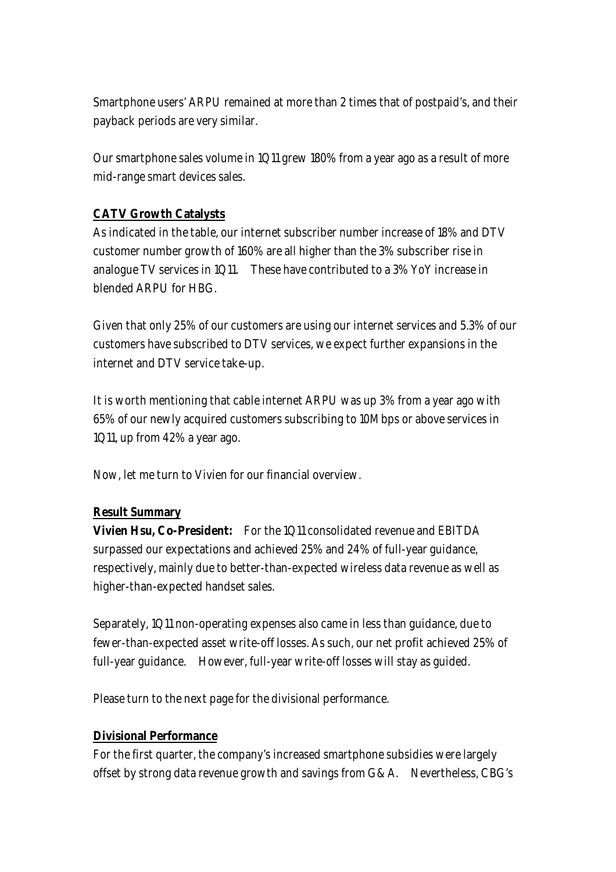Smartphone users' ARPU remained at more than 2 times that of postpaid's, and their payback periods are very similar.

Our smartphone sales volume in 1Q11 grew 180% from a year ago as a result of more mid-range smart devices sales.

# **CATV Growth Catalysts**

As indicated in the table, our internet subscriber number increase of 18% and DTV customer number growth of 160% are all higher than the 3% subscriber rise in analogue TV services in 1Q11. These have contributed to a 3% YoY increase in blended ARPU for HBG.

Given that only 25% of our customers are using our internet services and 5.3% of our customers have subscribed to DTV services, we expect further expansions in the internet and DTV service take-up.

It is worth mentioning that cable internet ARPU was up 3% from a year ago with 65% of our newly acquired customers subscribing to 10Mbps or above services in 1Q11, up from 42% a year ago.

Now, let me turn to Vivien for our financial overview.

### **Result Summary**

**Vivien Hsu, Co-President:** For the 1Q11 consolidated revenue and EBITDA surpassed our expectations and achieved 25% and 24% of full-year guidance, respectively, mainly due to better-than-expected wireless data revenue as well as higher-than-expected handset sales.

Separately, 1Q11 non-operating expenses also came in less than guidance, due to fewer-than-expected asset write-off losses. As such, our net profit achieved 25% of full-year guidance. However, full-year write-off losses will stay as guided.

Please turn to the next page for the divisional performance.

### **Divisional Performance**

For the first quarter, the company's increased smartphone subsidies were largely offset by strong data revenue growth and savings from G&A. Nevertheless, CBG's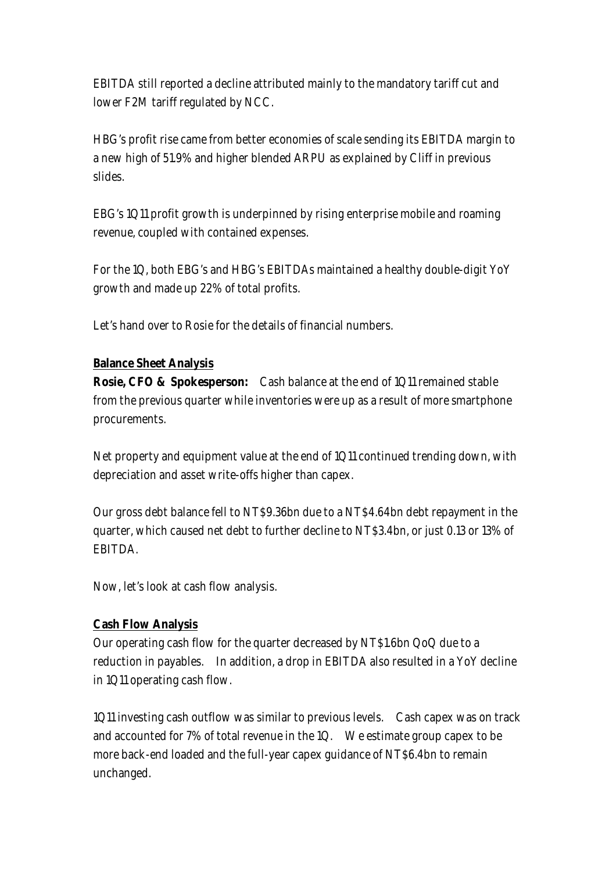EBITDA still reported a decline attributed mainly to the mandatory tariff cut and lower F2M tariff regulated by NCC.

HBG's profit rise came from better economies of scale sending its EBITDA margin to a new high of 51.9% and higher blended ARPU as explained by Cliff in previous slides.

EBG's 1Q11 profit growth is underpinned by rising enterprise mobile and roaming revenue, coupled with contained expenses.

For the 1Q, both EBG's and HBG's EBITDAs maintained a healthy double-digit YoY growth and made up 22% of total profits.

Let's hand over to Rosie for the details of financial numbers.

### **Balance Sheet Analysis**

**Rosie, CFO & Spokesperson:** Cash balance at the end of 1Q11 remained stable from the previous quarter while inventories were up as a result of more smartphone procurements.

Net property and equipment value at the end of 1Q11 continued trending down, with depreciation and asset write-offs higher than capex.

Our gross debt balance fell to NT\$9.36bn due to a NT\$4.64bn debt repayment in the quarter, which caused net debt to further decline to NT\$3.4bn, or just 0.13 or 13% of **EBITDA** 

Now, let's look at cash flow analysis.

### **Cash Flow Analysis**

Our operating cash flow for the quarter decreased by NT\$1.6bn QoQ due to a reduction in payables. In addition, a drop in EBITDA also resulted in a YoY decline in 1Q11 operating cash flow.

1Q11 investing cash outflow was similar to previous levels. Cash capex was on track and accounted for 7% of total revenue in the 1Q. We estimate group capex to be more back-end loaded and the full-year capex guidance of NT\$6.4bn to remain unchanged.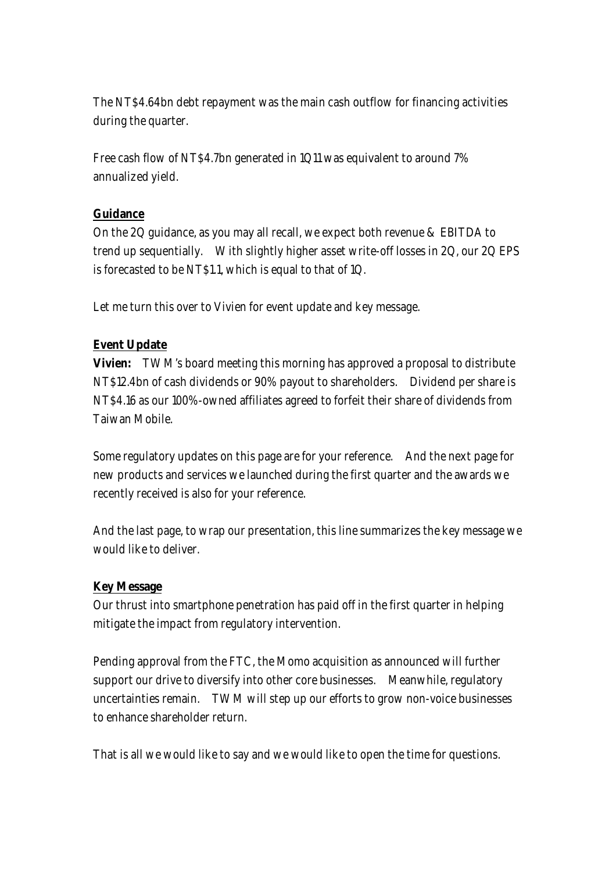The NT\$4.64bn debt repayment was the main cash outflow for financing activities during the quarter.

Free cash flow of NT\$4.7bn generated in 1Q11 was equivalent to around 7% annualized yield.

## **Guidance**

On the 2Q guidance, as you may all recall, we expect both revenue & EBITDA to trend up sequentially. With slightly higher asset write-off losses in 2Q, our 2Q EPS is forecasted to be NT\$1.1, which is equal to that of 1Q.

Let me turn this over to Vivien for event update and key message.

# **Event Update**

**Vivien:** TWM's board meeting this morning has approved a proposal to distribute NT\$12.4bn of cash dividends or 90% payout to shareholders. Dividend per share is NT\$4.16 as our 100%-owned affiliates agreed to forfeit their share of dividends from Taiwan Mobile.

Some regulatory updates on this page are for your reference. And the next page for new products and services we launched during the first quarter and the awards we recently received is also for your reference.

And the last page, to wrap our presentation, this line summarizes the key message we would like to deliver.

### **Key Message**

Our thrust into smartphone penetration has paid off in the first quarter in helping mitigate the impact from regulatory intervention.

Pending approval from the FTC, the Momo acquisition as announced will further support our drive to diversify into other core businesses. Meanwhile, regulatory uncertainties remain. TWM will step up our efforts to grow non-voice businesses to enhance shareholder return.

That is all we would like to say and we would like to open the time for questions.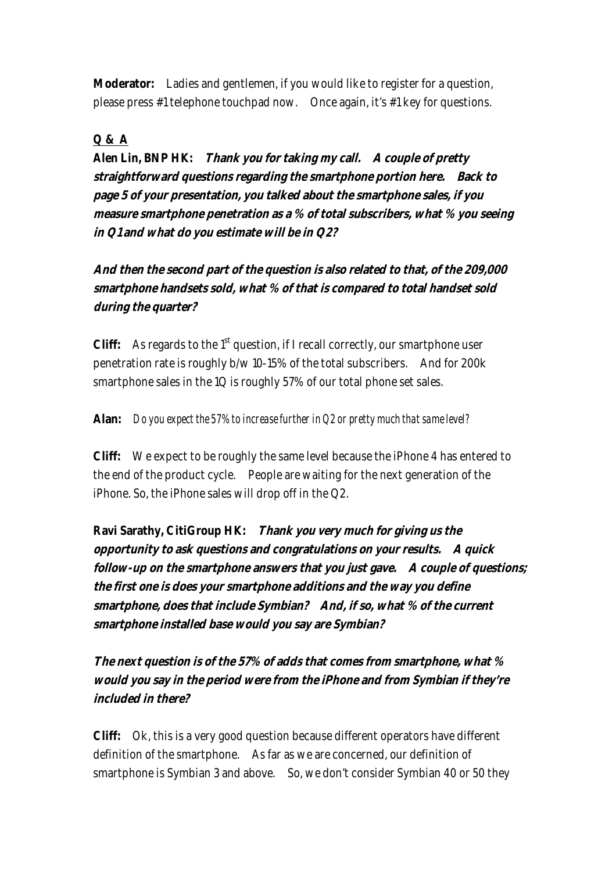**Moderator:** Ladies and gentlemen, if you would like to register for a question, please press #1 telephone touchpad now. Once again, it's #1 key for questions.

# **Q & A**

**Alen Lin, BNP HK: Thank you for taking my call. A couple of pretty straightforward questions regarding the smartphone portion here. Back to page 5 of your presentation, you talked about the smartphone sales, if you measure smartphone penetration as a % of total subscribers, what % you seeing in Q1 and what do you estimate will be in Q2?** 

**And then the second part of the question is also related to that, of the 209,000 smartphone handsets sold, what % of that is compared to total handset sold during the quarter?** 

**Cliff:** As regards to the  $1<sup>st</sup>$  question, if I recall correctly, our smartphone user penetration rate is roughly b/w 10-15% of the total subscribers. And for 200k smartphone sales in the 1Q is roughly 57% of our total phone set sales.

# **Alan:** *Do you expect the 57% to increase further in Q2 or pretty much that same level?*

**Cliff:** We expect to be roughly the same level because the iPhone 4 has entered to the end of the product cycle. People are waiting for the next generation of the iPhone. So, the iPhone sales will drop off in the Q2.

**Ravi Sarathy, CitiGroup HK: Thank you very much for giving us the opportunity to ask questions and congratulations on your results. A quick follow-up on the smartphone answers that you just gave. A couple of questions; the first one is does your smartphone additions and the way you define smartphone, does that include Symbian? And, if so, what % of the current smartphone installed base would you say are Symbian?** 

**The next question is of the 57% of adds that comes from smartphone, what % would you say in the period were from the iPhone and from Symbian if they're included in there?** 

**Cliff:** Ok, this is a very good question because different operators have different definition of the smartphone. As far as we are concerned, our definition of smartphone is Symbian 3 and above. So, we don't consider Symbian 40 or 50 they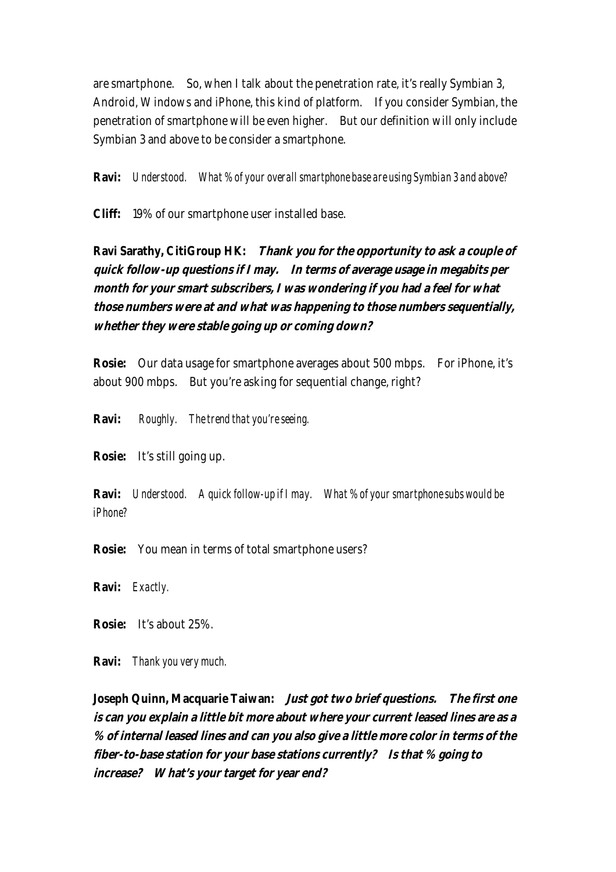are smartphone. So, when I talk about the penetration rate, it's really Symbian 3, Android, Windows and iPhone, this kind of platform. If you consider Symbian, the penetration of smartphone will be even higher. But our definition will only include Symbian 3 and above to be consider a smartphone.

**Ravi:** *Understood. What % of your overall smartphone base are using Symbian 3 and above?*

**Cliff:** 19% of our smartphone user installed base.

**Ravi Sarathy, CitiGroup HK: Thank you for the opportunity to ask a couple of quick follow-up questions if I may. In terms of average usage in megabits per month for your smart subscribers, I was wondering if you had a feel for what those numbers were at and what was happening to those numbers sequentially, whether they were stable going up or coming down?**

**Rosie:** Our data usage for smartphone averages about 500 mbps. For iPhone, it's about 900 mbps. But you're asking for sequential change, right?

**Ravi:** *Roughly. The trend that you're seeing.* 

**Rosie:** It's still going up.

**Ravi:** *Understood. A quick follow-up if I may. What % of your smartphone subs would be iPhone?*

**Rosie:** You mean in terms of total smartphone users?

**Ravi:** *Exactly.*

**Rosie:** It's about 25%.

**Ravi:** *Thank you very much.*

**Joseph Quinn, Macquarie Taiwan: Just got two brief questions. The first one is can you explain a little bit more about where your current leased lines are as a % of internal leased lines and can you also give a little more color in terms of the fiber-to-base station for your base stations currently? Is that % going to increase? What's your target for year end?**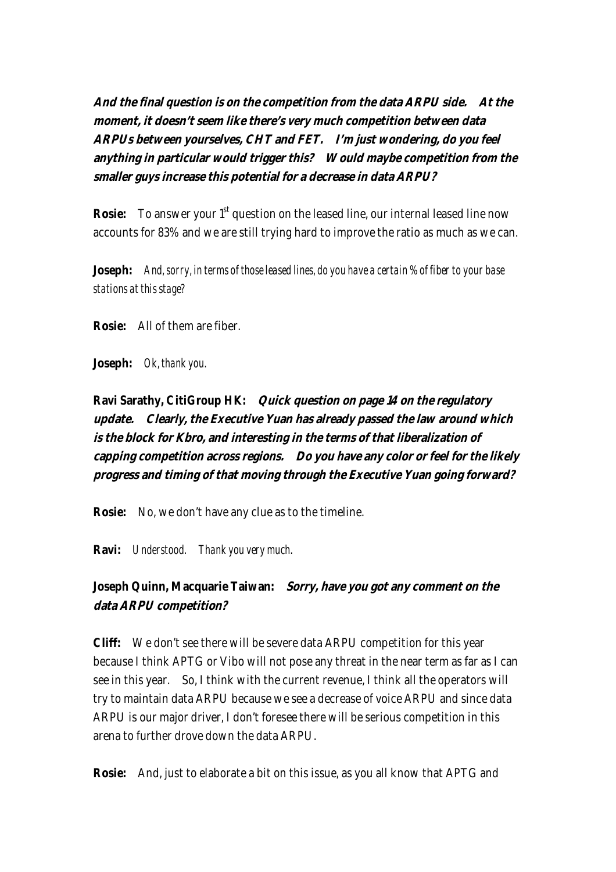**And the final question is on the competition from the data ARPU side. At the moment, it doesn't seem like there's very much competition between data ARPUs between yourselves, CHT and FET. I'm just wondering, do you feel anything in particular would trigger this? Would maybe competition from the smaller guys increase this potential for a decrease in data ARPU?** 

**Rosie:** To answer your 1<sup>st</sup> question on the leased line, our internal leased line now accounts for 83% and we are still trying hard to improve the ratio as much as we can.

**Joseph:** *And, sorry, in terms of those leased lines, do you have a certain % of fiber to your base stations at this stage?*

**Rosie:** All of them are fiber.

**Joseph:** *Ok, thank you.* 

**Ravi Sarathy, CitiGroup HK: Quick question on page 14 on the regulatory update. Clearly, the Executive Yuan has already passed the law around which is the block for Kbro, and interesting in the terms of that liberalization of capping competition across regions. Do you have any color or feel for the likely progress and timing of that moving through the Executive Yuan going forward?**

**Rosie:** No, we don't have any clue as to the timeline.

**Ravi:** *Understood. Thank you very much*.

**Joseph Quinn, Macquarie Taiwan: Sorry, have you got any comment on the data ARPU competition?** 

**Cliff:** We don't see there will be severe data ARPU competition for this year because I think APTG or Vibo will not pose any threat in the near term as far as I can see in this year. So, I think with the current revenue, I think all the operators will try to maintain data ARPU because we see a decrease of voice ARPU and since data ARPU is our major driver, I don't foresee there will be serious competition in this arena to further drove down the data ARPU.

**Rosie:** And, just to elaborate a bit on this issue, as you all know that APTG and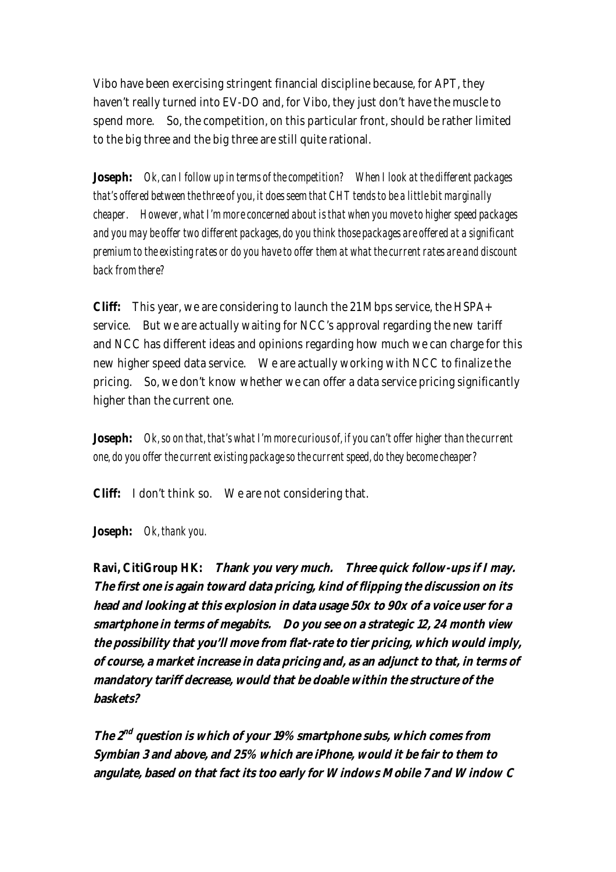Vibo have been exercising stringent financial discipline because, for APT, they haven't really turned into EV-DO and, for Vibo, they just don't have the muscle to spend more. So, the competition, on this particular front, should be rather limited to the big three and the big three are still quite rational.

**Joseph:** *Ok, can I follow up in terms of the competition? When I look at the different packages that's offered between the three of you, it does seem that CHT tends to be a little bit marginally cheaper. However, what I'm more concerned about is that when you move to higher speed packages and you may be offer two different packages, do you think those packages are offered at a significant premium to the existing rates or do you have to offer them at what the current rates are and discount back from there?*

**Cliff:** This year, we are considering to launch the 21 Mbps service, the HSPA+ service. But we are actually waiting for NCC's approval regarding the new tariff and NCC has different ideas and opinions regarding how much we can charge for this new higher speed data service. We are actually working with NCC to finalize the pricing. So, we don't know whether we can offer a data service pricing significantly higher than the current one.

**Joseph:** *Ok, so on that, that's what I'm more curious of, if you can't offer higher than the current one, do you offer the current existing package so the current speed, do they become cheaper?* 

**Cliff:** I don't think so. We are not considering that.

**Joseph:** *Ok, thank you.*

**Ravi, CitiGroup HK: Thank you very much. Three quick follow-ups if I may. The first one is again toward data pricing, kind of flipping the discussion on its head and looking at this explosion in data usage 50x to 90x of a voice user for a smartphone in terms of megabits. Do you see on a strategic 12, 24 month view the possibility that you'll move from flat-rate to tier pricing, which would imply, of course, a market increase in data pricing and, as an adjunct to that, in terms of mandatory tariff decrease, would that be doable within the structure of the baskets?**

**The 2nd question is which of your 19% smartphone subs, which comes from Symbian 3 and above, and 25% which are iPhone, would it be fair to them to angulate, based on that fact its too early for Windows Mobile 7 and Window C**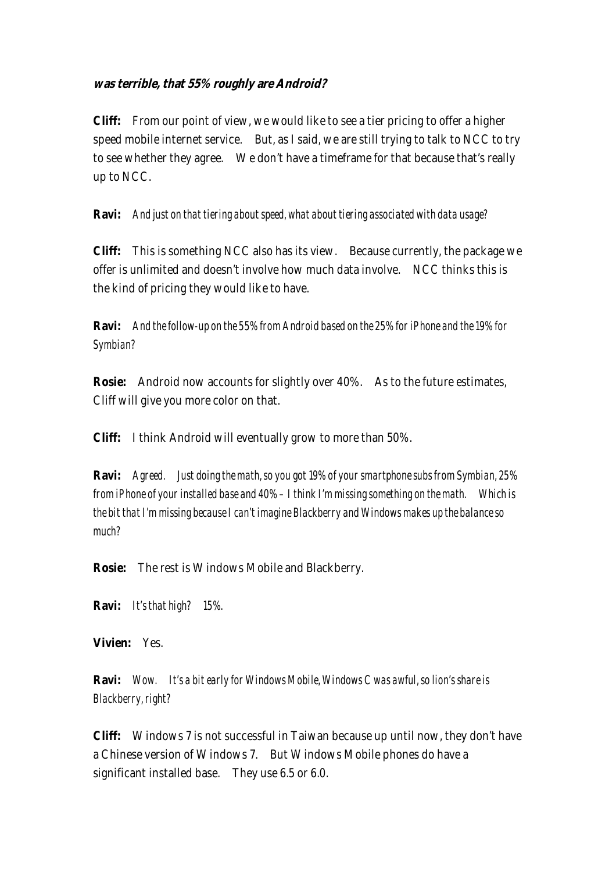#### **was terrible, that 55% roughly are Android?**

**Cliff:** From our point of view, we would like to see a tier pricing to offer a higher speed mobile internet service. But, as I said, we are still trying to talk to NCC to try to see whether they agree. We don't have a timeframe for that because that's really up to NCC.

#### **Ravi:** *And just on that tiering about speed, what about tiering associated with data usage?*

**Cliff:** This is something NCC also has its view. Because currently, the package we offer is unlimited and doesn't involve how much data involve. NCC thinks this is the kind of pricing they would like to have.

**Ravi:** *And the follow-up on the 55% from Android based on the 25% for iPhone and the 19% for Symbian?*

**Rosie:** Android now accounts for slightly over 40%. As to the future estimates, Cliff will give you more color on that.

**Cliff:** I think Android will eventually grow to more than 50%.

**Ravi:** *Agreed. Just doing the math, so you got 19% of your smartphone subs from Symbian, 25% from iPhone of your installed base and 40% – I think I'm missing something on the math. Which is the bit that I'm missing because I can't imagine Blackberry and Windows makes up the balance so much?* 

**Rosie:** The rest is Windows Mobile and Blackberry.

**Ravi:** *It's that high? 15%.*

**Vivien:** Yes.

**Ravi:** *Wow. It's a bit early for Windows Mobile, Windows C was awful, so lion's share is Blackberry, right?*

**Cliff:** Windows 7 is not successful in Taiwan because up until now, they don't have a Chinese version of Windows 7. But Windows Mobile phones do have a significant installed base. They use 6.5 or 6.0.